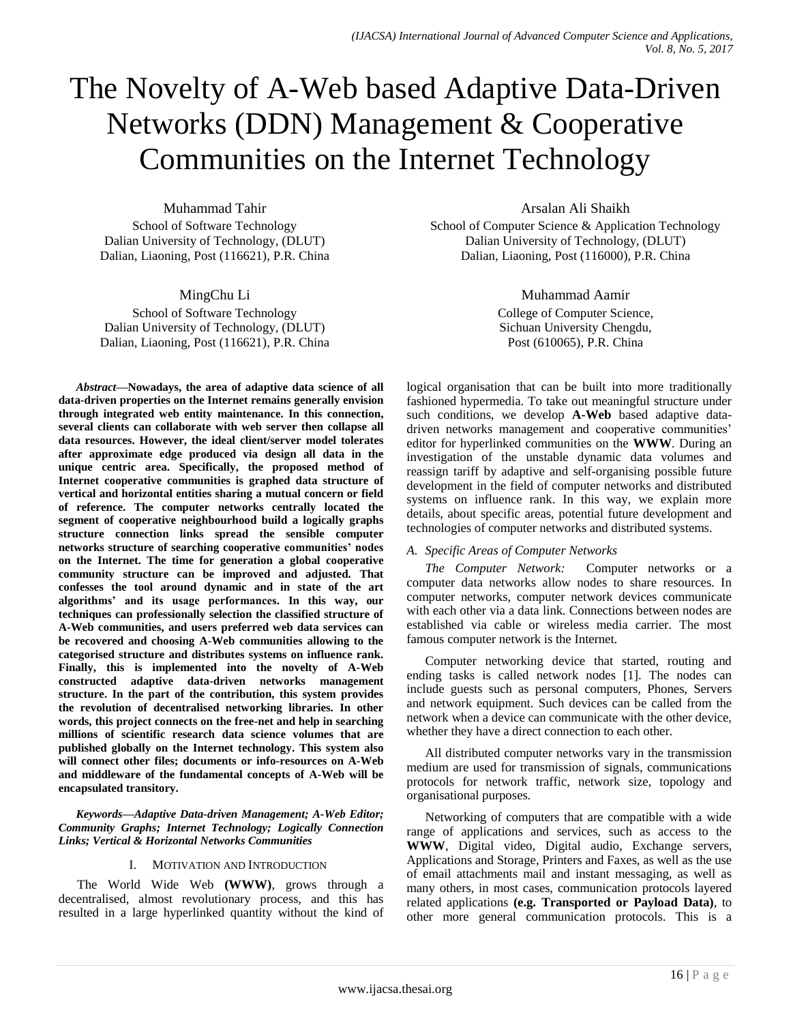# The Novelty of A-Web based Adaptive Data-Driven Networks (DDN) Management & Cooperative Communities on the Internet Technology

Muhammad Tahir School of Software Technology Dalian University of Technology, (DLUT) Dalian, Liaoning, Post (116621), P.R. China

MingChu Li

School of Software Technology Dalian University of Technology, (DLUT) Dalian, Liaoning, Post (116621), P.R. China

*Abstract—***Nowadays, the area of adaptive data science of all data-driven properties on the Internet remains generally envision through integrated web entity maintenance. In this connection, several clients can collaborate with web server then collapse all data resources. However, the ideal client/server model tolerates after approximate edge produced via design all data in the unique centric area. Specifically, the proposed method of Internet cooperative communities is graphed data structure of vertical and horizontal entities sharing a mutual concern or field of reference. The computer networks centrally located the segment of cooperative neighbourhood build a logically graphs structure connection links spread the sensible computer networks structure of searching cooperative communities" nodes on the Internet. The time for generation a global cooperative community structure can be improved and adjusted. That confesses the tool around dynamic and in state of the art algorithms" and its usage performances. In this way, our techniques can professionally selection the classified structure of A-Web communities, and users preferred web data services can be recovered and choosing A-Web communities allowing to the categorised structure and distributes systems on influence rank. Finally, this is implemented into the novelty of A-Web constructed adaptive data-driven networks management structure. In the part of the contribution, this system provides the revolution of decentralised networking libraries. In other words, this project connects on the free-net and help in searching millions of scientific research data science volumes that are published globally on the Internet technology. This system also will connect other files; documents or info-resources on A-Web and middleware of the fundamental concepts of A-Web will be encapsulated transitory.** 

*Keywords—Adaptive Data-driven Management; A-Web Editor; Community Graphs; Internet Technology; Logically Connection Links; Vertical & Horizontal Networks Communities*

## I. MOTIVATION AND INTRODUCTION

The World Wide Web **(WWW)**, grows through a decentralised, almost revolutionary process, and this has resulted in a large hyperlinked quantity without the kind of Arsalan Ali Shaikh

School of Computer Science & Application Technology Dalian University of Technology, (DLUT) Dalian, Liaoning, Post (116000), P.R. China

Muhammad Aamir

College of Computer Science, Sichuan University Chengdu, Post (610065), P.R. China

logical organisation that can be built into more traditionally fashioned hypermedia. To take out meaningful structure under such conditions, we develop **A-Web** based adaptive datadriven networks management and cooperative communities' editor for hyperlinked communities on the **WWW**. During an investigation of the unstable dynamic data volumes and reassign tariff by adaptive and self-organising possible future development in the field of computer networks and distributed systems on influence rank. In this way, we explain more details, about specific areas, potential future development and technologies of computer networks and distributed systems.

## *A. Specific Areas of Computer Networks*

*The Computer Network:* Computer networks or a computer data networks allow nodes to share resources. In computer networks, computer network devices communicate with each other via a data link. Connections between nodes are established via cable or wireless media carrier. The most famous computer network is the Internet.

Computer networking device that started, routing and ending tasks is called network nodes [1]. The nodes can include guests such as personal computers, Phones, Servers and network equipment. Such devices can be called from the network when a device can communicate with the other device, whether they have a direct connection to each other.

All distributed computer networks vary in the transmission medium are used for transmission of signals, communications protocols for network traffic, network size, topology and organisational purposes.

Networking of computers that are compatible with a wide range of applications and services, such as access to the **WWW**, Digital video, Digital audio, Exchange servers, Applications and Storage, Printers and Faxes, as well as the use of email attachments mail and instant messaging, as well as many others, in most cases, communication protocols layered related applications **(e.g. Transported or Payload Data)**, to other more general communication protocols. This is a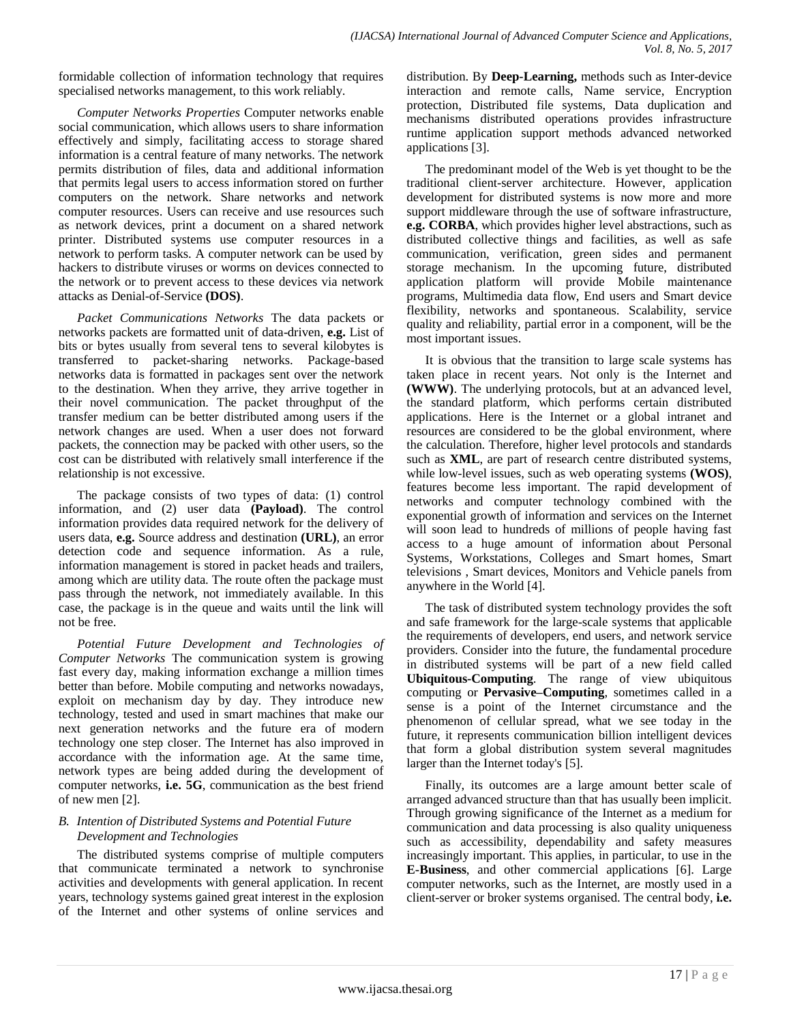formidable collection of information technology that requires specialised networks management, to this work reliably.

*Computer Networks Properties* Computer networks enable social communication, which allows users to share information effectively and simply, facilitating access to storage shared information is a central feature of many networks. The network permits distribution of files, data and additional information that permits legal users to access information stored on further computers on the network. Share networks and network computer resources. Users can receive and use resources such as network devices, print a document on a shared network printer. Distributed systems use computer resources in a network to perform tasks. A computer network can be used by hackers to distribute viruses or worms on devices connected to the network or to prevent access to these devices via network attacks as Denial-of-Service **(DOS)**.

*Packet Communications Networks* The data packets or networks packets are formatted unit of data-driven, **e.g.** List of bits or bytes usually from several tens to several kilobytes is transferred to packet-sharing networks. Package-based networks data is formatted in packages sent over the network to the destination. When they arrive, they arrive together in their novel communication. The packet throughput of the transfer medium can be better distributed among users if the network changes are used. When a user does not forward packets, the connection may be packed with other users, so the cost can be distributed with relatively small interference if the relationship is not excessive.

The package consists of two types of data: (1) control information, and (2) user data **(Payload)**. The control information provides data required network for the delivery of users data, **e.g.** Source address and destination **(URL)**, an error detection code and sequence information. As a rule, information management is stored in packet heads and trailers, among which are utility data. The route often the package must pass through the network, not immediately available. In this case, the package is in the queue and waits until the link will not be free.

*Potential Future Development and Technologies of Computer Networks* The communication system is growing fast every day, making information exchange a million times better than before. Mobile computing and networks nowadays, exploit on mechanism day by day. They introduce new technology, tested and used in smart machines that make our next generation networks and the future era of modern technology one step closer. The Internet has also improved in accordance with the information age. At the same time, network types are being added during the development of computer networks, **i.e. 5G**, communication as the best friend of new men [2].

# *B. Intention of Distributed Systems and Potential Future Development and Technologies*

The distributed systems comprise of multiple computers that communicate terminated a network to synchronise activities and developments with general application. In recent years, technology systems gained great interest in the explosion of the Internet and other systems of online services and

distribution. By **Deep-Learning,** methods such as Inter-device interaction and remote calls, Name service, Encryption protection, Distributed file systems, Data duplication and mechanisms distributed operations provides infrastructure runtime application support methods advanced networked applications [3].

The predominant model of the Web is yet thought to be the traditional client-server architecture. However, application development for distributed systems is now more and more support middleware through the use of software infrastructure, **e.g. CORBA**, which provides higher level abstractions, such as distributed collective things and facilities, as well as safe communication, verification, green sides and permanent storage mechanism. In the upcoming future, distributed application platform will provide Mobile maintenance programs, Multimedia data flow, End users and Smart device flexibility, networks and spontaneous. Scalability, service quality and reliability, partial error in a component, will be the most important issues.

It is obvious that the transition to large scale systems has taken place in recent years. Not only is the Internet and **(WWW)**. The underlying protocols, but at an advanced level, the standard platform, which performs certain distributed applications. Here is the Internet or a global intranet and resources are considered to be the global environment, where the calculation. Therefore, higher level protocols and standards such as **XML**, are part of research centre distributed systems, while low-level issues, such as web operating systems **(WOS)**, features become less important. The rapid development of networks and computer technology combined with the exponential growth of information and services on the Internet will soon lead to hundreds of millions of people having fast access to a huge amount of information about Personal Systems, Workstations, Colleges and Smart homes, Smart televisions , Smart devices, Monitors and Vehicle panels from anywhere in the World [4].

The task of distributed system technology provides the soft and safe framework for the large-scale systems that applicable the requirements of developers, end users, and network service providers. Consider into the future, the fundamental procedure in distributed systems will be part of a new field called **Ubiquitous-Computing**. The range of view ubiquitous computing or **Pervasive–Computing**, sometimes called in a sense is a point of the Internet circumstance and the phenomenon of cellular spread, what we see today in the future, it represents communication billion intelligent devices that form a global distribution system several magnitudes larger than the Internet today's [5].

Finally, its outcomes are a large amount better scale of arranged advanced structure than that has usually been implicit. Through growing significance of the Internet as a medium for communication and data processing is also quality uniqueness such as accessibility, dependability and safety measures increasingly important. This applies, in particular, to use in the **E-Business**, and other commercial applications [6]. Large computer networks, such as the Internet, are mostly used in a client-server or broker systems organised. The central body, **i.e.**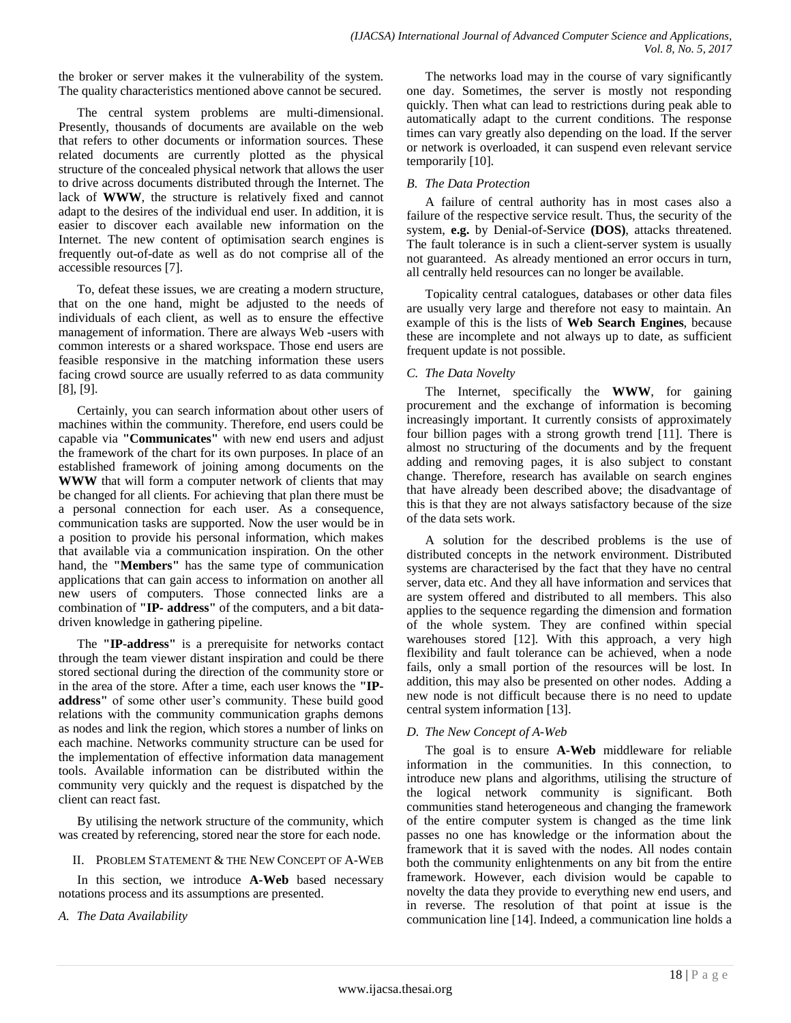the broker or server makes it the vulnerability of the system. The quality characteristics mentioned above cannot be secured.

The central system problems are multi-dimensional. Presently, thousands of documents are available on the web that refers to other documents or information sources. These related documents are currently plotted as the physical structure of the concealed physical network that allows the user to drive across documents distributed through the Internet. The lack of **WWW**, the structure is relatively fixed and cannot adapt to the desires of the individual end user. In addition, it is easier to discover each available new information on the Internet. The new content of optimisation search engines is frequently out-of-date as well as do not comprise all of the accessible resources [7].

To, defeat these issues, we are creating a modern structure, that on the one hand, might be adjusted to the needs of individuals of each client, as well as to ensure the effective management of information. There are always Web **-**users with common interests or a shared workspace. Those end users are feasible responsive in the matching information these users facing crowd source are usually referred to as data community [8], [9].

Certainly, you can search information about other users of machines within the community. Therefore, end users could be capable via **"Communicates"** with new end users and adjust the framework of the chart for its own purposes. In place of an established framework of joining among documents on the **WWW** that will form a computer network of clients that may be changed for all clients. For achieving that plan there must be a personal connection for each user. As a consequence, communication tasks are supported. Now the user would be in a position to provide his personal information, which makes that available via a communication inspiration. On the other hand, the **"Members"** has the same type of communication applications that can gain access to information on another all new users of computers. Those connected links are a combination of **"IP- address"** of the computers, and a bit datadriven knowledge in gathering pipeline.

The **"IP-address"** is a prerequisite for networks contact through the team viewer distant inspiration and could be there stored sectional during the direction of the community store or in the area of the store. After a time, each user knows the **"IP**address" of some other user's community. These build good relations with the community communication graphs demons as nodes and link the region, which stores a number of links on each machine. Networks community structure can be used for the implementation of effective information data management tools. Available information can be distributed within the community very quickly and the request is dispatched by the client can react fast.

By utilising the network structure of the community, which was created by referencing, stored near the store for each node.

## II. PROBLEM STATEMENT & THE NEW CONCEPT OF A-WEB

In this section, we introduce **A-Web** based necessary notations process and its assumptions are presented.

*A. The Data Availability* 

The networks load may in the course of vary significantly one day. Sometimes, the server is mostly not responding quickly. Then what can lead to restrictions during peak able to automatically adapt to the current conditions. The response times can vary greatly also depending on the load. If the server or network is overloaded, it can suspend even relevant service temporarily [10].

## *B. The Data Protection*

A failure of central authority has in most cases also a failure of the respective service result. Thus, the security of the system, **e.g.** by Denial-of-Service **(DOS)**, attacks threatened. The fault tolerance is in such a client-server system is usually not guaranteed. As already mentioned an error occurs in turn, all centrally held resources can no longer be available.

Topicality central catalogues, databases or other data files are usually very large and therefore not easy to maintain. An example of this is the lists of **Web Search Engines**, because these are incomplete and not always up to date, as sufficient frequent update is not possible.

# *C. The Data Novelty*

The Internet, specifically the **WWW**, for gaining procurement and the exchange of information is becoming increasingly important. It currently consists of approximately four billion pages with a strong growth trend [11]. There is almost no structuring of the documents and by the frequent adding and removing pages, it is also subject to constant change. Therefore, research has available on search engines that have already been described above; the disadvantage of this is that they are not always satisfactory because of the size of the data sets work.

A solution for the described problems is the use of distributed concepts in the network environment. Distributed systems are characterised by the fact that they have no central server, data etc. And they all have information and services that are system offered and distributed to all members. This also applies to the sequence regarding the dimension and formation of the whole system. They are confined within special warehouses stored [12]. With this approach, a very high flexibility and fault tolerance can be achieved, when a node fails, only a small portion of the resources will be lost. In addition, this may also be presented on other nodes. Adding a new node is not difficult because there is no need to update central system information [13].

# *D. The New Concept of A-Web*

The goal is to ensure **A-Web** middleware for reliable information in the communities. In this connection, to introduce new plans and algorithms, utilising the structure of the logical network community is significant. Both communities stand heterogeneous and changing the framework of the entire computer system is changed as the time link passes no one has knowledge or the information about the framework that it is saved with the nodes. All nodes contain both the community enlightenments on any bit from the entire framework. However, each division would be capable to novelty the data they provide to everything new end users, and in reverse. The resolution of that point at issue is the communication line [14]. Indeed, a communication line holds a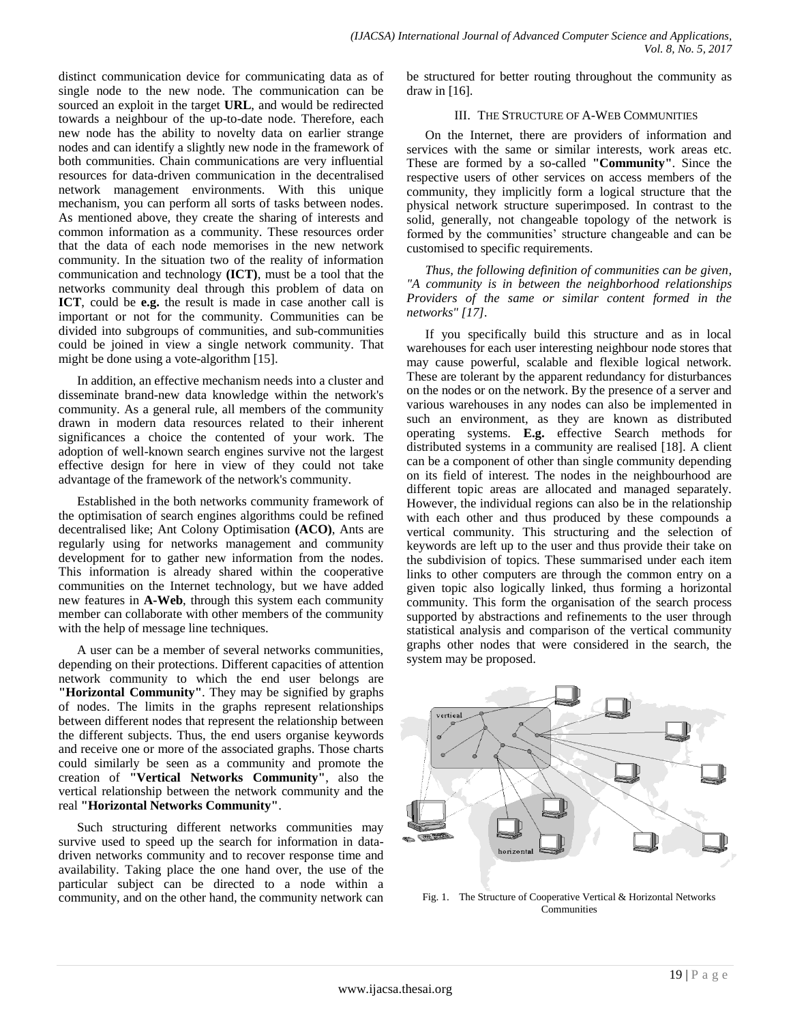distinct communication device for communicating data as of single node to the new node. The communication can be sourced an exploit in the target **URL**, and would be redirected towards a neighbour of the up-to-date node. Therefore, each new node has the ability to novelty data on earlier strange nodes and can identify a slightly new node in the framework of both communities. Chain communications are very influential resources for data-driven communication in the decentralised network management environments. With this unique mechanism, you can perform all sorts of tasks between nodes. As mentioned above, they create the sharing of interests and common information as a community. These resources order that the data of each node memorises in the new network community. In the situation two of the reality of information communication and technology **(ICT)**, must be a tool that the networks community deal through this problem of data on **ICT**, could be **e.g.** the result is made in case another call is important or not for the community. Communities can be divided into subgroups of communities, and sub-communities could be joined in view a single network community. That might be done using a vote-algorithm [15].

In addition, an effective mechanism needs into a cluster and disseminate brand-new data knowledge within the network's community. As a general rule, all members of the community drawn in modern data resources related to their inherent significances a choice the contented of your work. The adoption of well-known search engines survive not the largest effective design for here in view of they could not take advantage of the framework of the network's community.

Established in the both networks community framework of the optimisation of search engines algorithms could be refined decentralised like; Ant Colony Optimisation **(ACO)**, Ants are regularly using for networks management and community development for to gather new information from the nodes. This information is already shared within the cooperative communities on the Internet technology, but we have added new features in **A-Web**, through this system each community member can collaborate with other members of the community with the help of message line techniques.

A user can be a member of several networks communities, depending on their protections. Different capacities of attention network community to which the end user belongs are **"Horizontal Community"**. They may be signified by graphs of nodes. The limits in the graphs represent relationships between different nodes that represent the relationship between the different subjects. Thus, the end users organise keywords and receive one or more of the associated graphs. Those charts could similarly be seen as a community and promote the creation of **"Vertical Networks Community"**, also the vertical relationship between the network community and the real **"Horizontal Networks Community"**.

Such structuring different networks communities may survive used to speed up the search for information in datadriven networks community and to recover response time and availability. Taking place the one hand over, the use of the particular subject can be directed to a node within a community, and on the other hand, the community network can be structured for better routing throughout the community as draw in [16].

## III. THE STRUCTURE OF A-WEB COMMUNITIES

On the Internet, there are providers of information and services with the same or similar interests, work areas etc. These are formed by a so-called **"Community"**. Since the respective users of other services on access members of the community, they implicitly form a logical structure that the physical network structure superimposed. In contrast to the solid, generally, not changeable topology of the network is formed by the communities' structure changeable and can be customised to specific requirements.

*Thus, the following definition of communities can be given, "A community is in between the neighborhood relationships Providers of the same or similar content formed in the networks" [17].*

If you specifically build this structure and as in local warehouses for each user interesting neighbour node stores that may cause powerful, scalable and flexible logical network. These are tolerant by the apparent redundancy for disturbances on the nodes or on the network. By the presence of a server and various warehouses in any nodes can also be implemented in such an environment, as they are known as distributed operating systems. **E.g.** effective Search methods for distributed systems in a community are realised [18]. A client can be a component of other than single community depending on its field of interest. The nodes in the neighbourhood are different topic areas are allocated and managed separately. However, the individual regions can also be in the relationship with each other and thus produced by these compounds a vertical community. This structuring and the selection of keywords are left up to the user and thus provide their take on the subdivision of topics. These summarised under each item links to other computers are through the common entry on a given topic also logically linked, thus forming a horizontal community. This form the organisation of the search process supported by abstractions and refinements to the user through statistical analysis and comparison of the vertical community graphs other nodes that were considered in the search, the system may be proposed.



Fig. 1. The Structure of Cooperative Vertical & Horizontal Networks **Communities**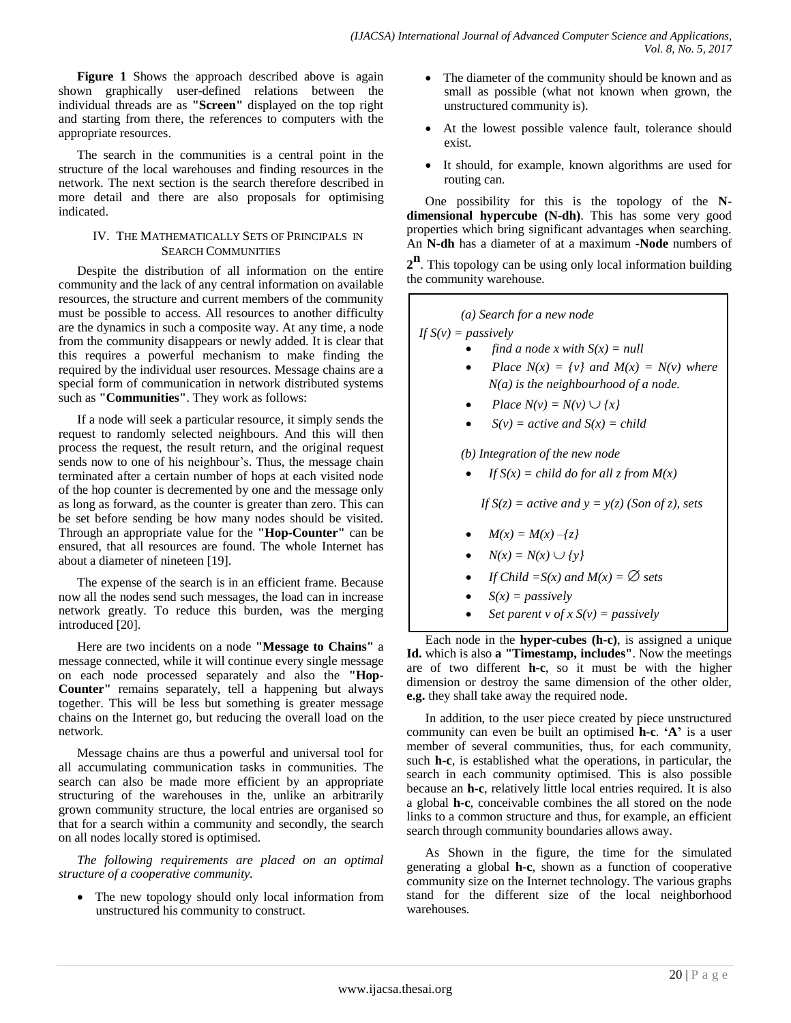**Figure 1** Shows the approach described above is again shown graphically user-defined relations between the individual threads are as **"Screen"** displayed on the top right and starting from there, the references to computers with the appropriate resources.

The search in the communities is a central point in the structure of the local warehouses and finding resources in the network. The next section is the search therefore described in more detail and there are also proposals for optimising indicated.

## IV. THE MATHEMATICALLY SETS OF PRINCIPALS IN SEARCH COMMUNITIES

Despite the distribution of all information on the entire community and the lack of any central information on available resources, the structure and current members of the community must be possible to access. All resources to another difficulty are the dynamics in such a composite way. At any time, a node from the community disappears or newly added. It is clear that this requires a powerful mechanism to make finding the required by the individual user resources. Message chains are a special form of communication in network distributed systems such as **"Communities"**. They work as follows:

If a node will seek a particular resource, it simply sends the request to randomly selected neighbours. And this will then process the request, the result return, and the original request sends now to one of his neighbour's. Thus, the message chain terminated after a certain number of hops at each visited node of the hop counter is decremented by one and the message only as long as forward, as the counter is greater than zero. This can be set before sending be how many nodes should be visited. Through an appropriate value for the **"Hop-Counter"** can be ensured, that all resources are found. The whole Internet has about a diameter of nineteen [19].

The expense of the search is in an efficient frame. Because now all the nodes send such messages, the load can in increase network greatly. To reduce this burden, was the merging introduced [20].

Here are two incidents on a node **"Message to Chains"** a message connected, while it will continue every single message on each node processed separately and also the **"Hop-Counter"** remains separately, tell a happening but always together. This will be less but something is greater message chains on the Internet go, but reducing the overall load on the network.

Message chains are thus a powerful and universal tool for all accumulating communication tasks in communities. The search can also be made more efficient by an appropriate structuring of the warehouses in the, unlike an arbitrarily grown community structure, the local entries are organised so that for a search within a community and secondly, the search on all nodes locally stored is optimised.

*The following requirements are placed on an optimal structure of a cooperative community.*

• The new topology should only local information from unstructured his community to construct.

- The diameter of the community should be known and as small as possible (what not known when grown, the unstructured community is).
- At the lowest possible valence fault, tolerance should exist.
- It should, for example, known algorithms are used for routing can.

One possibility for this is the topology of the **Ndimensional hypercube (N-dh)**. This has some very good properties which bring significant advantages when searching. An **N-dh** has a diameter of at a maximum **-Node** numbers of

**2 n** . This topology can be using only local information building the community warehouse.

*(a) Search for a new node*

*If S(v) = passively*

- *find a node x with S(x) = null*
- *Place*  $N(x) = \{v\}$  *and*  $M(x) = N(v)$  *where N(a) is the neighbourhood of a node.*
- *Place*  $N(v) = N(v) \cup \{x\}$
- $S(v) = active$  *and*  $S(x) = child$

*(b) Integration of the new node*

*If*  $S(x) = child$  *do for all z from*  $M(x)$ 

*If*  $S(z) = active$  *and*  $y = y(z)$  *(Son of z), sets* 

- $M(x) = M(x) \{z\}$
- $N(x) = N(x) \cup \{y\}$
- *If Child* =  $S(x)$  and  $M(x) = \emptyset$  sets
- $S(x) =$  *passively*
- *Set parent v of x S(v) = passively*

Each node in the **hyper-cubes (h-c)**, is assigned a unique **Id.** which is also **a "Timestamp, includes"**. Now the meetings are of two different **h-c**, so it must be with the higher dimension or destroy the same dimension of the other older, **e.g.** they shall take away the required node.

In addition, to the user piece created by piece unstructured community can even be built an optimised **h-c**. **"A"** is a user member of several communities, thus, for each community, such **h-c**, is established what the operations, in particular, the search in each community optimised. This is also possible because an **h-c**, relatively little local entries required. It is also a global **h-c**, conceivable combines the all stored on the node links to a common structure and thus, for example, an efficient search through community boundaries allows away.

As Shown in the figure, the time for the simulated generating a global **h-c**, shown as a function of cooperative community size on the Internet technology. The various graphs stand for the different size of the local neighborhood warehouses.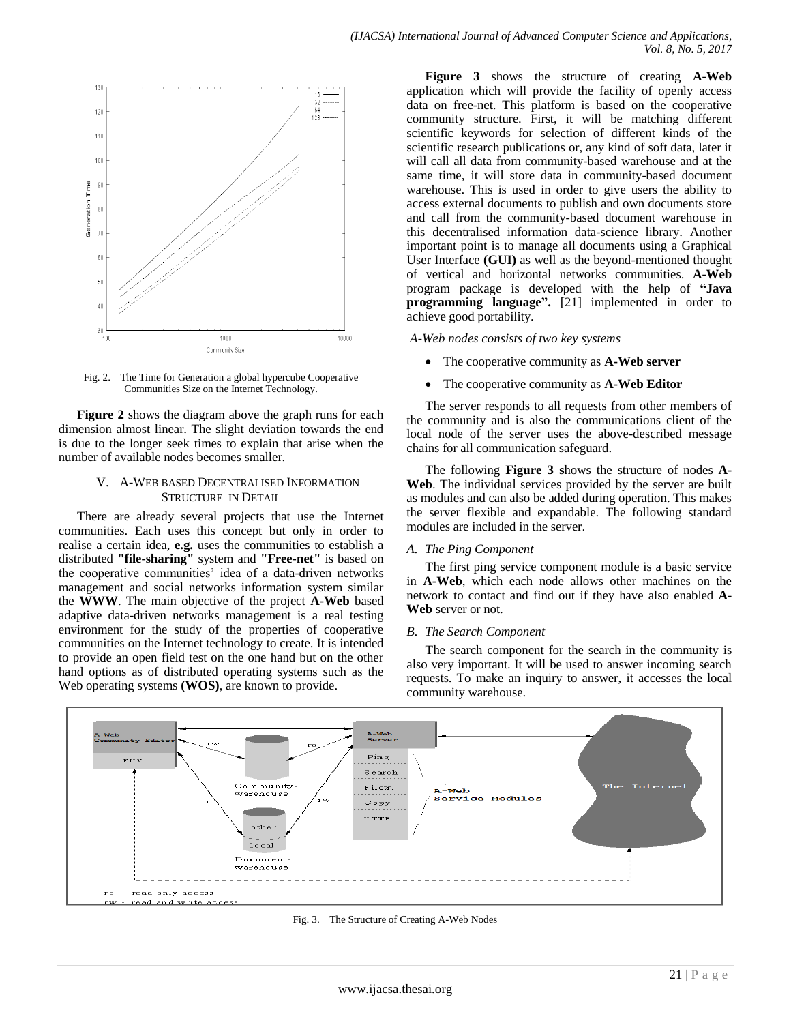

Fig. 2. The Time for Generation a global hypercube Cooperative Communities Size on the Internet Technology.

**Figure 2** shows the diagram above the graph runs for each dimension almost linear. The slight deviation towards the end is due to the longer seek times to explain that arise when the number of available nodes becomes smaller.

## V. A-WEB BASED DECENTRALISED INFORMATION STRUCTURE IN DETAIL

There are already several projects that use the Internet communities. Each uses this concept but only in order to realise a certain idea, **e.g.** uses the communities to establish a distributed **"file-sharing"** system and **"Free-net"** is based on the cooperative communities' idea of a data-driven networks management and social networks information system similar the **WWW**. The main objective of the project **A-Web** based adaptive data-driven networks management is a real testing environment for the study of the properties of cooperative communities on the Internet technology to create. It is intended to provide an open field test on the one hand but on the other hand options as of distributed operating systems such as the Web operating systems **(WOS)**, are known to provide.

**Figure 3** shows the structure of creating **A-Web** application which will provide the facility of openly access data on free-net. This platform is based on the cooperative community structure. First, it will be matching different scientific keywords for selection of different kinds of the scientific research publications or, any kind of soft data, later it will call all data from community-based warehouse and at the same time, it will store data in community-based document warehouse. This is used in order to give users the ability to access external documents to publish and own documents store and call from the community-based document warehouse in this decentralised information data-science library. Another important point is to manage all documents using a Graphical User Interface **(GUI)** as well as the beyond-mentioned thought of vertical and horizontal networks communities. **A-Web** program package is developed with the help of **"Java programming language".** [21] implemented in order to achieve good portability.

*A-Web nodes consists of two key systems*

- The cooperative community as **A-Web server**
- The cooperative community as **A-Web Editor**

The server responds to all requests from other members of the community and is also the communications client of the local node of the server uses the above-described message chains for all communication safeguard.

The following **Figure 3 s**hows the structure of nodes **A-Web**. The individual services provided by the server are built as modules and can also be added during operation. This makes the server flexible and expandable. The following standard modules are included in the server.

## *A. The Ping Component*

The first ping service component module is a basic service in **A-Web**, which each node allows other machines on the network to contact and find out if they have also enabled **A-Web** server or not.

## *B. The Search Component*

The search component for the search in the community is also very important. It will be used to answer incoming search requests. To make an inquiry to answer, it accesses the local community warehouse.



Fig. 3. The Structure of Creating A-Web Nodes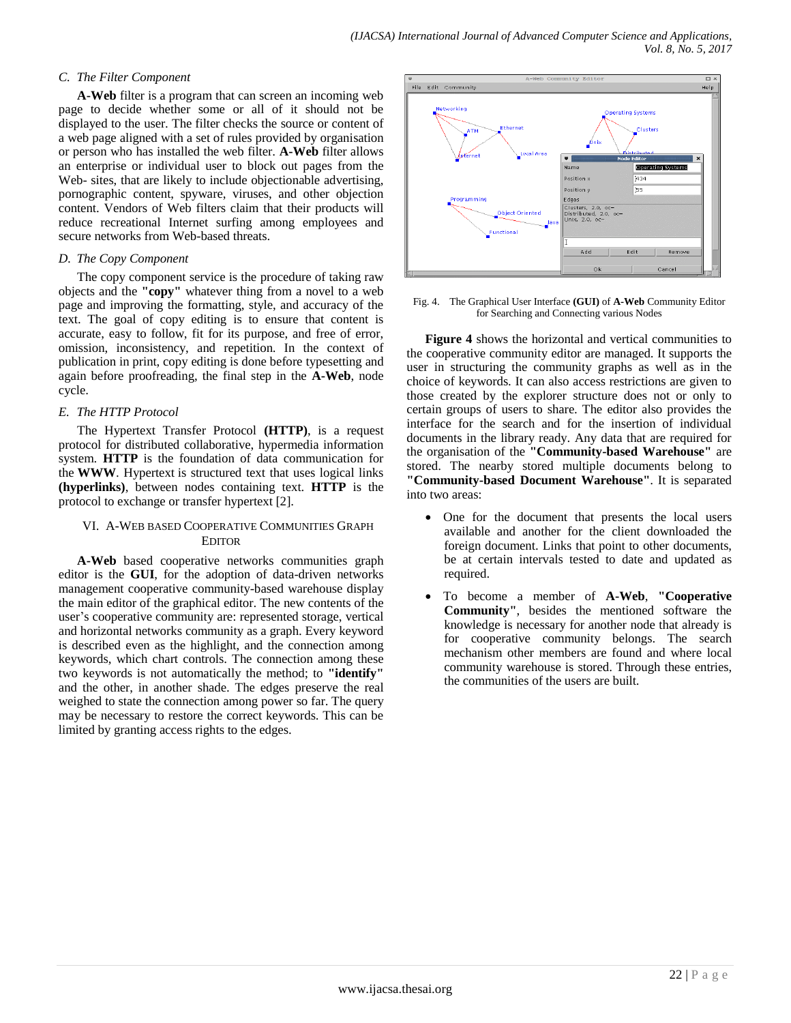## *C. The Filter Component*

**A-Web** filter is a program that can screen an incoming web page to decide whether some or all of it should not be displayed to the user. The filter checks the source or content of a web page aligned with a set of rules provided by organisation or person who has installed the web filter. **A-Web** filter allows an enterprise or individual user to block out pages from the Web- sites, that are likely to include objectionable advertising, pornographic content, spyware, viruses, and other objection content. Vendors of Web filters claim that their products will reduce recreational Internet surfing among employees and secure networks from Web-based threats.

## *D. The Copy Component*

The copy component service is the procedure of taking raw objects and the **"copy"** whatever thing from a novel to a web page and improving the formatting, style, and accuracy of the text. The goal of copy editing is to ensure that content is accurate, easy to follow, fit for its purpose, and free of error, omission, inconsistency, and repetition. In the context of publication in print, copy editing is done before typesetting and again before proofreading, the final step in the **A-Web**, node cycle.

## *E. The HTTP Protocol*

The Hypertext Transfer Protocol **(HTTP)**, is a request protocol for distributed collaborative, hypermedia information system. **HTTP** is the foundation of data communication for the **WWW**. Hypertext is structured text that uses logical links **(hyperlinks)**, between nodes containing text. **HTTP** is the protocol to exchange or transfer hypertext [2].

## VI. A-WEB BASED COOPERATIVE COMMUNITIES GRAPH EDITOR

**A-Web** based cooperative networks communities graph editor is the **GUI**, for the adoption of data-driven networks management cooperative community-based warehouse display the main editor of the graphical editor. The new contents of the user"s cooperative community are: represented storage, vertical and horizontal networks community as a graph. Every keyword is described even as the highlight, and the connection among keywords, which chart controls. The connection among these two keywords is not automatically the method; to **"identify"**  and the other, in another shade. The edges preserve the real weighed to state the connection among power so far. The query may be necessary to restore the correct keywords. This can be limited by granting access rights to the edges.



Fig. 4. The Graphical User Interface **(GUI)** of **A-Web** Community Editor for Searching and Connecting various Nodes

**Figure 4** shows the horizontal and vertical communities to the cooperative community editor are managed. It supports the user in structuring the community graphs as well as in the choice of keywords. It can also access restrictions are given to those created by the explorer structure does not or only to certain groups of users to share. The editor also provides the interface for the search and for the insertion of individual documents in the library ready. Any data that are required for the organisation of the **"Community-based Warehouse"** are stored. The nearby stored multiple documents belong to **"Community-based Document Warehouse"**. It is separated into two areas:

- One for the document that presents the local users available and another for the client downloaded the foreign document. Links that point to other documents, be at certain intervals tested to date and updated as required.
- To become a member of **A-Web**, **"Cooperative Community"**, besides the mentioned software the knowledge is necessary for another node that already is for cooperative community belongs. The search mechanism other members are found and where local community warehouse is stored. Through these entries, the communities of the users are built.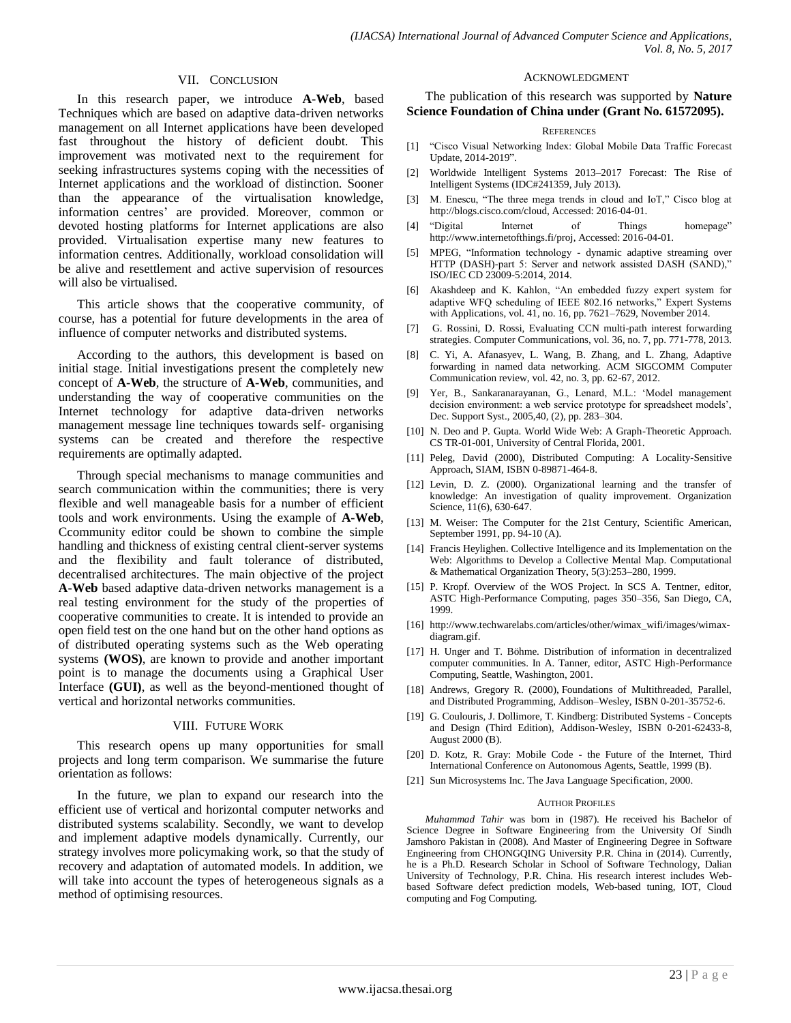## VII. CONCLUSION

In this research paper, we introduce **A-Web**, based Techniques which are based on adaptive data-driven networks management on all Internet applications have been developed fast throughout the history of deficient doubt. This improvement was motivated next to the requirement for seeking infrastructures systems coping with the necessities of Internet applications and the workload of distinction. Sooner than the appearance of the virtualisation knowledge, information centres' are provided. Moreover, common or devoted hosting platforms for Internet applications are also provided. Virtualisation expertise many new features to information centres. Additionally, workload consolidation will be alive and resettlement and active supervision of resources will also be virtualised.

This article shows that the cooperative community, of course, has a potential for future developments in the area of influence of computer networks and distributed systems.

According to the authors, this development is based on initial stage. Initial investigations present the completely new concept of **A-Web**, the structure of **A-Web**, communities, and understanding the way of cooperative communities on the Internet technology for adaptive data-driven networks management message line techniques towards self- organising systems can be created and therefore the respective requirements are optimally adapted.

Through special mechanisms to manage communities and search communication within the communities; there is very flexible and well manageable basis for a number of efficient tools and work environments. Using the example of **A-Web**, Ccommunity editor could be shown to combine the simple handling and thickness of existing central client-server systems and the flexibility and fault tolerance of distributed, decentralised architectures. The main objective of the project **A-Web** based adaptive data-driven networks management is a real testing environment for the study of the properties of cooperative communities to create. It is intended to provide an open field test on the one hand but on the other hand options as of distributed operating systems such as the Web operating systems **(WOS)**, are known to provide and another important point is to manage the documents using a Graphical User Interface **(GUI)**, as well as the beyond-mentioned thought of vertical and horizontal networks communities.

## VIII. FUTURE WORK

This research opens up many opportunities for small projects and long term comparison. We summarise the future orientation as follows:

In the future, we plan to expand our research into the efficient use of vertical and horizontal computer networks and distributed systems scalability. Secondly, we want to develop and implement adaptive models dynamically. Currently, our strategy involves more policymaking work, so that the study of recovery and adaptation of automated models. In addition, we will take into account the types of heterogeneous signals as a method of optimising resources.

#### ACKNOWLEDGMENT

The publication of this research was supported by **Nature Science Foundation of China under (Grant No. 61572095).**

#### **REFERENCES**

- [1] "Cisco Visual Networking Index: Global Mobile Data Traffic Forecast Update, 2014-2019".
- [2] Worldwide Intelligent Systems 2013–2017 Forecast: The Rise of Intelligent Systems (IDC#241359, July 2013).
- [3] M. Enescu, "The three mega trends in cloud and IoT," Cisco blog at http://blogs.cisco.com/cloud, Accessed: 2016-04-01.
- [4] "Digital Internet of Things homepage" http://www.internetofthings.fi/proj, Accessed: 2016-04-01.
- [5] MPEG, "Information technology dynamic adaptive streaming over HTTP (DASH)-part 5: Server and network assisted DASH (SAND)," ISO/IEC CD 23009-5:2014, 2014.
- [6] Akashdeep and K. Kahlon, "An embedded fuzzy expert system for adaptive WFQ scheduling of IEEE 802.16 networks," Expert Systems with Applications, vol. 41, no. 16, pp. 7621–7629, November 2014.
- [7] G. Rossini, D. Rossi, Evaluating CCN multi-path interest forwarding strategies. Computer Communications, vol. 36, no. 7, pp. 771-778, 2013.
- [8] C. Yi, A. Afanasyev, L. Wang, B. Zhang, and L. Zhang, Adaptive forwarding in named data networking. ACM SIGCOMM Computer Communication review, vol. 42, no. 3, pp. 62-67, 2012.
- [9] Yer, B., Sankaranarayanan, G., Lenard, M.L.: "Model management decision environment: a web service prototype for spreadsheet models', Dec. Support Syst., 2005,40, (2), pp. 283–304.
- [10] N. Deo and P. Gupta. World Wide Web: A Graph-Theoretic Approach. CS TR-01-001, University of Central Florida, 2001.
- [11] Peleg, David (2000), Distributed Computing: A Locality-Sensitive Approach, SIAM, ISBN 0-89871-464-8.
- [12] Levin, D. Z. (2000). Organizational learning and the transfer of knowledge: An investigation of quality improvement. Organization Science, 11(6), 630-647.
- [13] M. Weiser: The Computer for the 21st Century, Scientific American, September 1991, pp. 94-10 (A).
- [14] Francis Heylighen. Collective Intelligence and its Implementation on the Web: Algorithms to Develop a Collective Mental Map. Computational & Mathematical Organization Theory, 5(3):253–280, 1999.
- [15] P. Kropf. Overview of the WOS Project. In SCS A. Tentner, editor, ASTC High-Performance Computing, pages 350–356, San Diego, CA, 1999.
- [16] http://www.techwarelabs.com/articles/other/wimax\_wifi/images/wimaxdiagram.gif.
- [17] H. Unger and T. Böhme. Distribution of information in decentralized computer communities. In A. Tanner, editor, ASTC High-Performance Computing, Seattle, Washington, 2001.
- [18] Andrews, Gregory R. (2000), Foundations of Multithreaded, Parallel, and Distributed Programming, [Addison–Wesley,](https://en.wikipedia.org/wiki/Addison%E2%80%93Wesley) [ISBN](https://en.wikipedia.org/wiki/International_Standard_Book_Number) [0-201-35752-6.](https://en.wikipedia.org/wiki/Special:BookSources/0-201-35752-6)
- [19] G. Coulouris, J. Dollimore, T. Kindberg: Distributed Systems Concepts and Design (Third Edition), Addison-Wesley, ISBN 0-201-62433-8, August 2000 (B).
- [20] D. Kotz, R. Gray: Mobile Code the Future of the Internet, Third International Conference on Autonomous Agents, Seattle, 1999 (B).
- [21] Sun Microsystems Inc. The Java Language Specification, 2000.

#### AUTHOR PROFILES

*Muhammad Tahir* was born in (1987). He received his Bachelor of Science Degree in Software Engineering from the University Of Sindh Jamshoro Pakistan in (2008). And Master of Engineering Degree in Software Engineering from CHONGQING University P.R. China in (2014). Currently, he is a Ph.D. Research Scholar in School of Software Technology, Dalian University of Technology, P.R. China. His research interest includes Webbased Software defect prediction models, Web-based tuning, IOT, Cloud computing and Fog Computing.